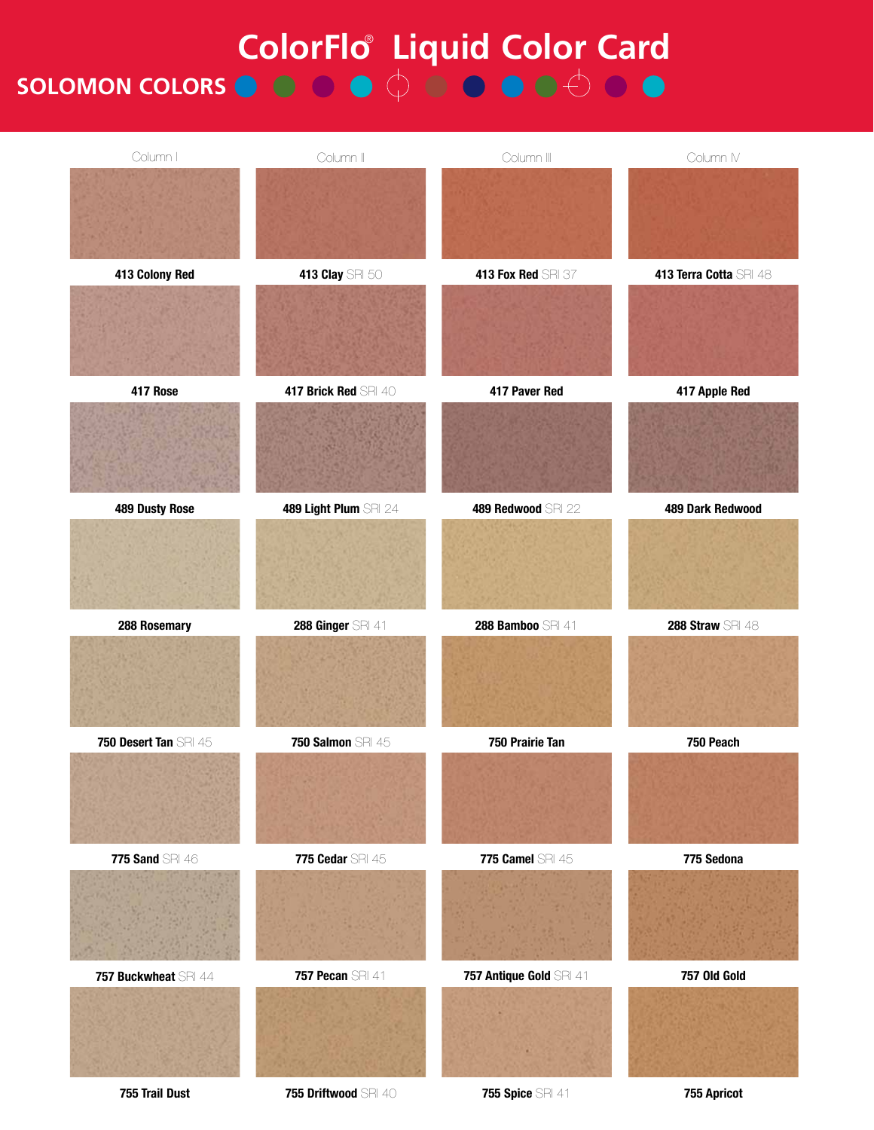## **ColorFlo** Liquid Color Card **SOLOMON COLORS**

| Column I              | Column II             | Column III              | Column IV              |
|-----------------------|-----------------------|-------------------------|------------------------|
|                       |                       |                         |                        |
|                       |                       |                         |                        |
| 413 Colony Red        | 413 Clay SRI 50       | 413 Fox Red SRI 37      | 413 Terra Cotta SRI 48 |
|                       |                       |                         |                        |
|                       |                       |                         |                        |
| 417 Rose              | 417 Brick Red SRI 40  | 417 Paver Red           | 417 Apple Red          |
|                       |                       |                         |                        |
|                       |                       |                         |                        |
| 489 Dusty Rose        | 489 Light Plum SRI 24 | 489 Redwood SRI 22      | 489 Dark Redwood       |
|                       |                       |                         |                        |
|                       |                       |                         |                        |
| 288 Rosemary          | 288 Ginger SRI 41     | 288 Bamboo SRI 41       | 288 Straw SRI 48       |
|                       |                       |                         |                        |
|                       |                       |                         |                        |
| 750 Desert Tan SRI 45 | 750 Salmon SRI 45     | 750 Prairie Tan         | 750 Peach              |
|                       |                       |                         |                        |
|                       |                       |                         |                        |
| 775 Sand SRI 46       | 775 Cedar SRI 45      | 775 Camel SRI 45        | 775 Sedona             |
|                       |                       |                         |                        |
|                       |                       |                         |                        |
| 757 Buckwheat SRI 44  | 757 Pecan SRI 41      | 757 Antique Gold SRI 41 | 757 Old Gold           |
|                       |                       |                         |                        |
|                       |                       |                         |                        |

**<sup>755</sup> Trail Dust 755 Driftwood** SRI 40 **755 Spice** SRI 41 **755 Apricot**